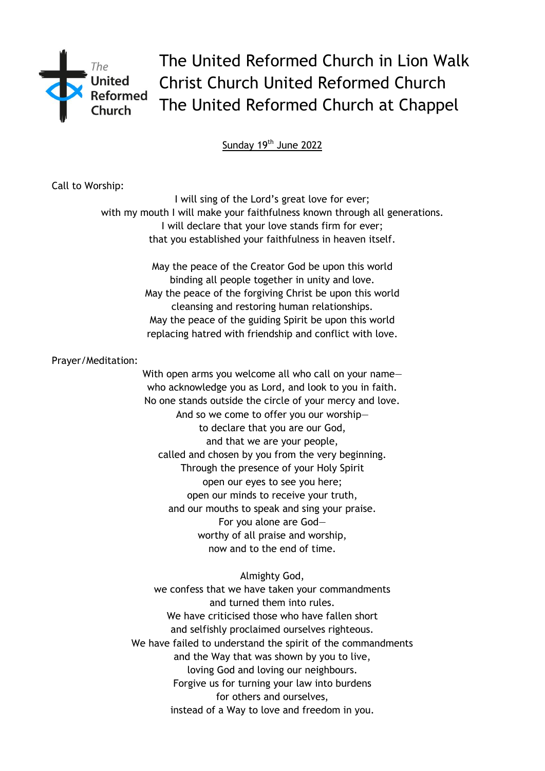

The United Reformed Church in Lion Walk Christ Church United Reformed Church The United Reformed Church at Chappel

Sunday 19<sup>th</sup> June 2022

Call to Worship:

I will sing of the Lord's great love for ever; with my mouth I will make your faithfulness known through all generations. I will declare that your love stands firm for ever; that you established your faithfulness in heaven itself.

> May the peace of the Creator God be upon this world binding all people together in unity and love. May the peace of the forgiving Christ be upon this world cleansing and restoring human relationships. May the peace of the guiding Spirit be upon this world replacing hatred with friendship and conflict with love.

Prayer/Meditation:

With open arms you welcome all who call on your name who acknowledge you as Lord, and look to you in faith. No one stands outside the circle of your mercy and love. And so we come to offer you our worship to declare that you are our God, and that we are your people, called and chosen by you from the very beginning. Through the presence of your Holy Spirit open our eyes to see you here; open our minds to receive your truth, and our mouths to speak and sing your praise. For you alone are God worthy of all praise and worship, now and to the end of time.

Almighty God, we confess that we have taken your commandments and turned them into rules. We have criticised those who have fallen short and selfishly proclaimed ourselves righteous. We have failed to understand the spirit of the commandments and the Way that was shown by you to live, loving God and loving our neighbours. Forgive us for turning your law into burdens for others and ourselves, instead of a Way to love and freedom in you.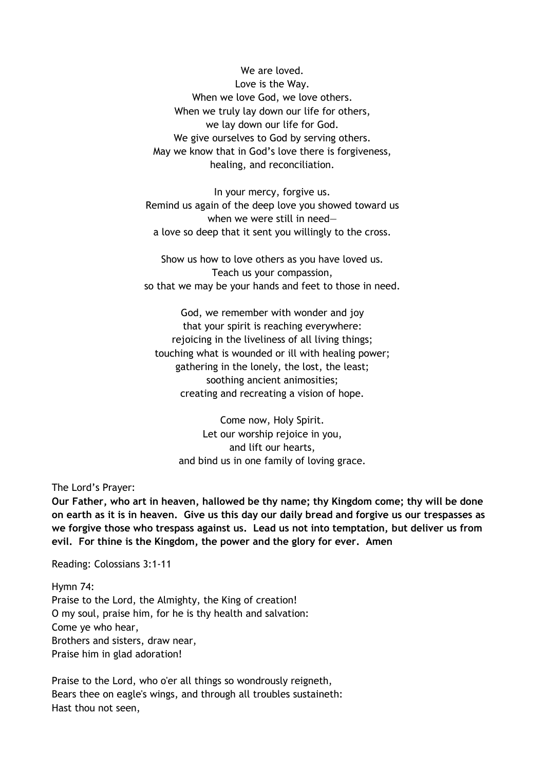We are loved. Love is the Way. When we love God, we love others. When we truly lay down our life for others, we lay down our life for God. We give ourselves to God by serving others. May we know that in God's love there is forgiveness, healing, and reconciliation.

In your mercy, forgive us. Remind us again of the deep love you showed toward us when we were still in need a love so deep that it sent you willingly to the cross.

Show us how to love others as you have loved us. Teach us your compassion, so that we may be your hands and feet to those in need.

God, we remember with wonder and joy that your spirit is reaching everywhere: rejoicing in the liveliness of all living things; touching what is wounded or ill with healing power; gathering in the lonely, the lost, the least; soothing ancient animosities; creating and recreating a vision of hope.

Come now, Holy Spirit. Let our worship rejoice in you, and lift our hearts, and bind us in one family of loving grace.

The Lord's Prayer:

**Our Father, who art in heaven, hallowed be thy name; thy Kingdom come; thy will be done on earth as it is in heaven. Give us this day our daily bread and forgive us our trespasses as we forgive those who trespass against us. Lead us not into temptation, but deliver us from evil. For thine is the Kingdom, the power and the glory for ever. Amen** 

Reading: Colossians 3:1-11

Hymn 74: Praise to the Lord, the Almighty, the King of creation! O my soul, praise him, for he is thy health and salvation: Come ye who hear, Brothers and sisters, draw near, Praise him in glad adoration!

Praise to the Lord, who o'er all things so wondrously reigneth, Bears thee on eagle's wings, and through all troubles sustaineth: Hast thou not seen,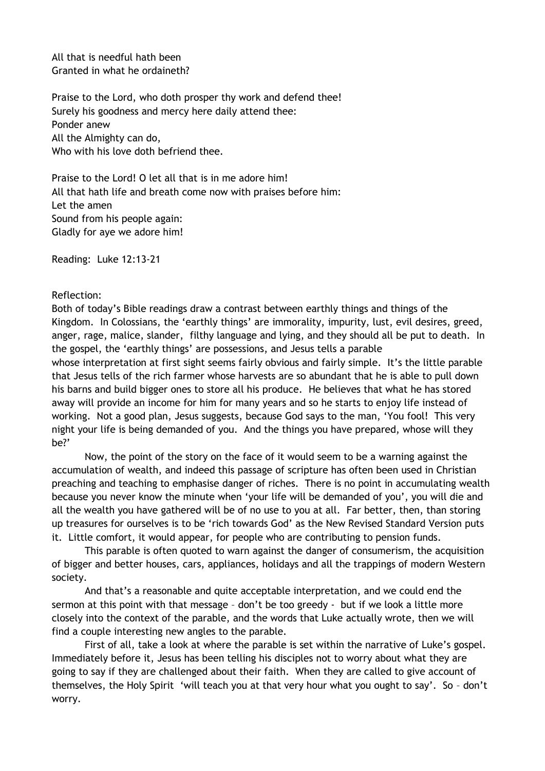All that is needful hath been Granted in what he ordaineth?

Praise to the Lord, who doth prosper thy work and defend thee! Surely his goodness and mercy here daily attend thee: Ponder anew All the Almighty can do, Who with his love doth befriend thee.

Praise to the Lord! O let all that is in me adore him! All that hath life and breath come now with praises before him: Let the amen Sound from his people again: Gladly for aye we adore him!

Reading: Luke 12:13-21

## Reflection:

Both of today's Bible readings draw a contrast between earthly things and things of the Kingdom. In Colossians, the 'earthly things' are immorality, impurity, lust, evil desires, greed, anger, rage, malice, slander, filthy language and lying, and they should all be put to death. In the gospel, the 'earthly things' are possessions, and Jesus tells a parable

whose interpretation at first sight seems fairly obvious and fairly simple. It's the little parable that Jesus tells of the rich farmer whose harvests are so abundant that he is able to pull down his barns and build bigger ones to store all his produce. He believes that what he has stored away will provide an income for him for many years and so he starts to enjoy life instead of working. Not a good plan, Jesus suggests, because God says to the man, 'You fool! This very night your life is being demanded of you. And the things you have prepared, whose will they be?'

Now, the point of the story on the face of it would seem to be a warning against the accumulation of wealth, and indeed this passage of scripture has often been used in Christian preaching and teaching to emphasise danger of riches. There is no point in accumulating wealth because you never know the minute when 'your life will be demanded of you', you will die and all the wealth you have gathered will be of no use to you at all. Far better, then, than storing up treasures for ourselves is to be 'rich towards God' as the New Revised Standard Version puts it. Little comfort, it would appear, for people who are contributing to pension funds.

This parable is often quoted to warn against the danger of consumerism, the acquisition of bigger and better houses, cars, appliances, holidays and all the trappings of modern Western society.

And that's a reasonable and quite acceptable interpretation, and we could end the sermon at this point with that message – don't be too greedy - but if we look a little more closely into the context of the parable, and the words that Luke actually wrote, then we will find a couple interesting new angles to the parable.

First of all, take a look at where the parable is set within the narrative of Luke's gospel. Immediately before it, Jesus has been telling his disciples not to worry about what they are going to say if they are challenged about their faith. When they are called to give account of themselves, the Holy Spirit 'will teach you at that very hour what you ought to say'. So – don't worry.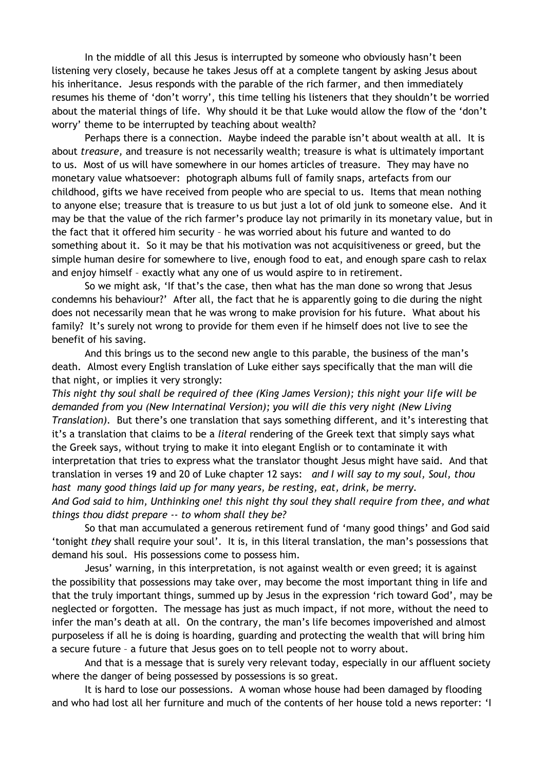In the middle of all this Jesus is interrupted by someone who obviously hasn't been listening very closely, because he takes Jesus off at a complete tangent by asking Jesus about his inheritance. Jesus responds with the parable of the rich farmer, and then immediately resumes his theme of 'don't worry', this time telling his listeners that they shouldn't be worried about the material things of life. Why should it be that Luke would allow the flow of the 'don't worry' theme to be interrupted by teaching about wealth?

Perhaps there is a connection. Maybe indeed the parable isn't about wealth at all. It is about *treasure,* and treasure is not necessarily wealth; treasure is what is ultimately important to us. Most of us will have somewhere in our homes articles of treasure. They may have no monetary value whatsoever: photograph albums full of family snaps, artefacts from our childhood, gifts we have received from people who are special to us. Items that mean nothing to anyone else; treasure that is treasure to us but just a lot of old junk to someone else. And it may be that the value of the rich farmer's produce lay not primarily in its monetary value, but in the fact that it offered him security – he was worried about his future and wanted to do something about it. So it may be that his motivation was not acquisitiveness or greed, but the simple human desire for somewhere to live, enough food to eat, and enough spare cash to relax and enjoy himself – exactly what any one of us would aspire to in retirement.

So we might ask, 'If that's the case, then what has the man done so wrong that Jesus condemns his behaviour?' After all, the fact that he is apparently going to die during the night does not necessarily mean that he was wrong to make provision for his future. What about his family? It's surely not wrong to provide for them even if he himself does not live to see the benefit of his saving.

And this brings us to the second new angle to this parable, the business of the man's death. Almost every English translation of Luke either says specifically that the man will die that night, or implies it very strongly:

*This night thy soul shall be required of thee (King James Version); this night your life will be demanded from you (New Internatinal Version); you will die this very night (New Living Translation).* But there's one translation that says something different, and it's interesting that it's a translation that claims to be a *literal* rendering of the Greek text that simply says what the Greek says, without trying to make it into elegant English or to contaminate it with interpretation that tries to express what the translator thought Jesus might have said. And that translation in verses 19 and 20 of Luke chapter 12 says: *and I will say to my soul, Soul, thou hast many good things laid up for many years, be resting, eat, drink, be merry. And God said to him, Unthinking one! this night thy soul they shall require from thee, and what things thou didst prepare -- to whom shall they be?* 

So that man accumulated a generous retirement fund of 'many good things' and God said 'tonight *they* shall require your soul'. It is, in this literal translation, the man's possessions that demand his soul. His possessions come to possess him.

Jesus' warning, in this interpretation, is not against wealth or even greed; it is against the possibility that possessions may take over, may become the most important thing in life and that the truly important things, summed up by Jesus in the expression 'rich toward God', may be neglected or forgotten. The message has just as much impact, if not more, without the need to infer the man's death at all. On the contrary, the man's life becomes impoverished and almost purposeless if all he is doing is hoarding, guarding and protecting the wealth that will bring him a secure future – a future that Jesus goes on to tell people not to worry about.

And that is a message that is surely very relevant today, especially in our affluent society where the danger of being possessed by possessions is so great.

It is hard to lose our possessions. A woman whose house had been damaged by flooding and who had lost all her furniture and much of the contents of her house told a news reporter: 'I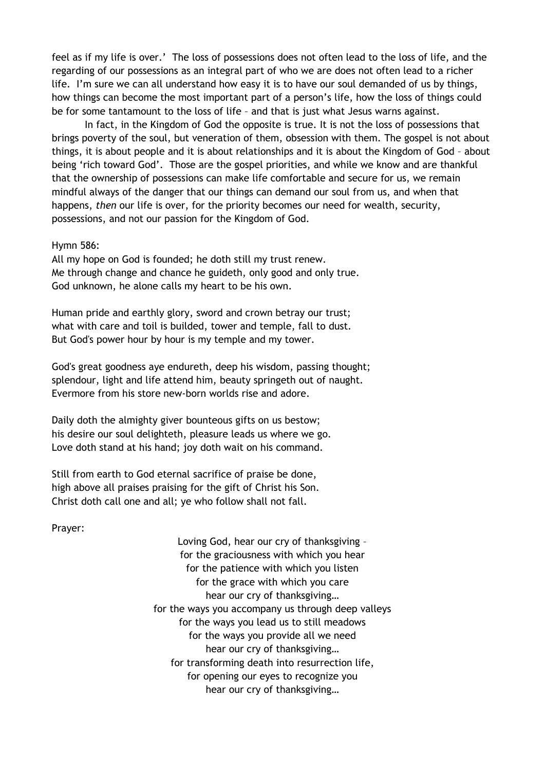feel as if my life is over.' The loss of possessions does not often lead to the loss of life, and the regarding of our possessions as an integral part of who we are does not often lead to a richer life. I'm sure we can all understand how easy it is to have our soul demanded of us by things, how things can become the most important part of a person's life, how the loss of things could be for some tantamount to the loss of life – and that is just what Jesus warns against.

In fact, in the Kingdom of God the opposite is true. It is not the loss of possessions that brings poverty of the soul, but veneration of them, obsession with them. The gospel is not about things, it is about people and it is about relationships and it is about the Kingdom of God – about being 'rich toward God'. Those are the gospel priorities, and while we know and are thankful that the ownership of possessions can make life comfortable and secure for us, we remain mindful always of the danger that our things can demand our soul from us, and when that happens, *then* our life is over, for the priority becomes our need for wealth, security, possessions, and not our passion for the Kingdom of God.

## Hymn 586:

All my hope on God is founded; he doth still my trust renew. Me through change and chance he guideth, only good and only true. God unknown, he alone calls my heart to be his own.

Human pride and earthly glory, sword and crown betray our trust; what with care and toil is builded, tower and temple, fall to dust. But God's power hour by hour is my temple and my tower.

God's great goodness aye endureth, deep his wisdom, passing thought; splendour, light and life attend him, beauty springeth out of naught. Evermore from his store new-born worlds rise and adore.

Daily doth the almighty giver bounteous gifts on us bestow; his desire our soul delighteth, pleasure leads us where we go. Love doth stand at his hand; joy doth wait on his command.

Still from earth to God eternal sacrifice of praise be done, high above all praises praising for the gift of Christ his Son. Christ doth call one and all; ye who follow shall not fall.

Prayer:

Loving God, hear our cry of thanksgiving – for the graciousness with which you hear for the patience with which you listen for the grace with which you care hear our cry of thanksgiving… for the ways you accompany us through deep valleys for the ways you lead us to still meadows for the ways you provide all we need hear our cry of thanksgiving… for transforming death into resurrection life, for opening our eyes to recognize you hear our cry of thanksgiving…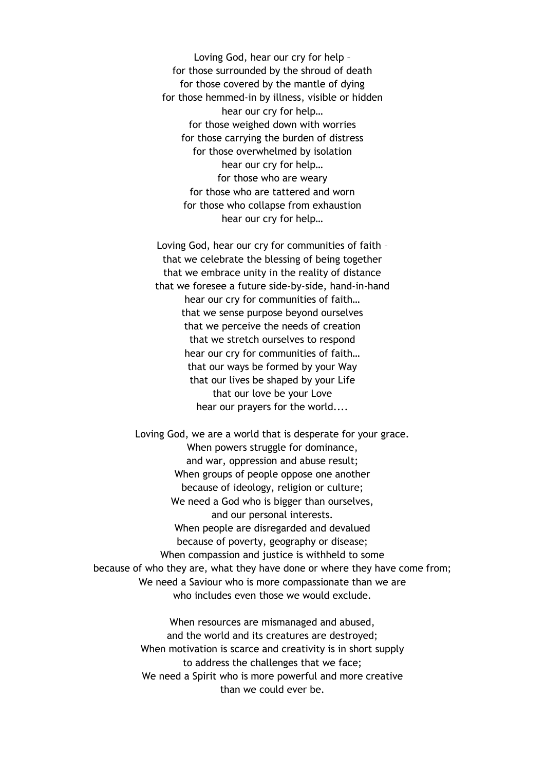Loving God, hear our cry for help – for those surrounded by the shroud of death for those covered by the mantle of dying for those hemmed-in by illness, visible or hidden hear our cry for help… for those weighed down with worries for those carrying the burden of distress for those overwhelmed by isolation hear our cry for help… for those who are weary for those who are tattered and worn for those who collapse from exhaustion hear our cry for help…

Loving God, hear our cry for communities of faith – that we celebrate the blessing of being together that we embrace unity in the reality of distance that we foresee a future side-by-side, hand-in-hand hear our cry for communities of faith… that we sense purpose beyond ourselves that we perceive the needs of creation that we stretch ourselves to respond hear our cry for communities of faith… that our ways be formed by your Way that our lives be shaped by your Life that our love be your Love hear our prayers for the world....

Loving God, we are a world that is desperate for your grace. When powers struggle for dominance, and war, oppression and abuse result; When groups of people oppose one another because of ideology, religion or culture; We need a God who is bigger than ourselves, and our personal interests. When people are disregarded and devalued because of poverty, geography or disease; When compassion and justice is withheld to some because of who they are, what they have done or where they have come from; We need a Saviour who is more compassionate than we are who includes even those we would exclude.

> When resources are mismanaged and abused, and the world and its creatures are destroyed; When motivation is scarce and creativity is in short supply to address the challenges that we face; We need a Spirit who is more powerful and more creative than we could ever be.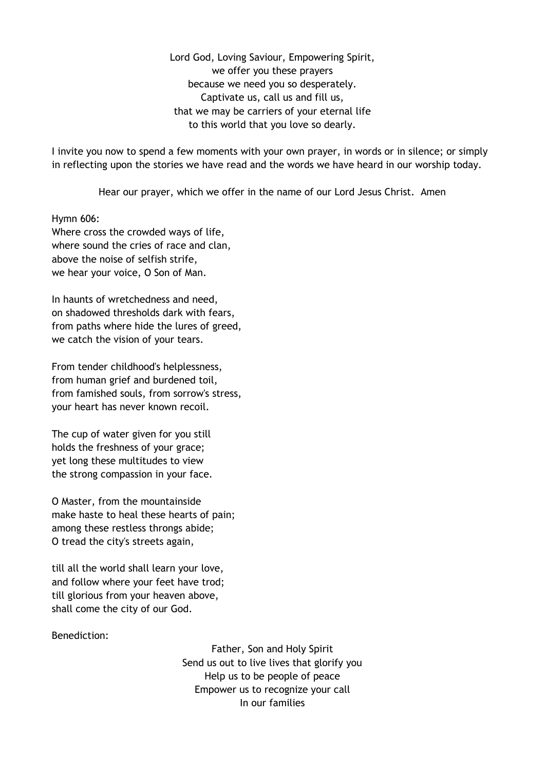Lord God, Loving Saviour, Empowering Spirit, we offer you these prayers because we need you so desperately. Captivate us, call us and fill us, that we may be carriers of your eternal life to this world that you love so dearly.

I invite you now to spend a few moments with your own prayer, in words or in silence; or simply in reflecting upon the stories we have read and the words we have heard in our worship today.

Hear our prayer, which we offer in the name of our Lord Jesus Christ. Amen

Hymn 606:

Where cross the crowded ways of life, where sound the cries of race and clan, above the noise of selfish strife, we hear your voice, O Son of Man.

In haunts of wretchedness and need, on shadowed thresholds dark with fears, from paths where hide the lures of greed, we catch the vision of your tears.

From tender childhood's helplessness, from human grief and burdened toil, from famished souls, from sorrow's stress, your heart has never known recoil.

The cup of water given for you still holds the freshness of your grace; yet long these multitudes to view the strong compassion in your face.

O Master, from the mountainside make haste to heal these hearts of pain; among these restless throngs abide; O tread the city's streets again,

till all the world shall learn your love, and follow where your feet have trod; till glorious from your heaven above, shall come the city of our God.

## Benediction:

Father, Son and Holy Spirit Send us out to live lives that glorify you Help us to be people of peace Empower us to recognize your call In our families